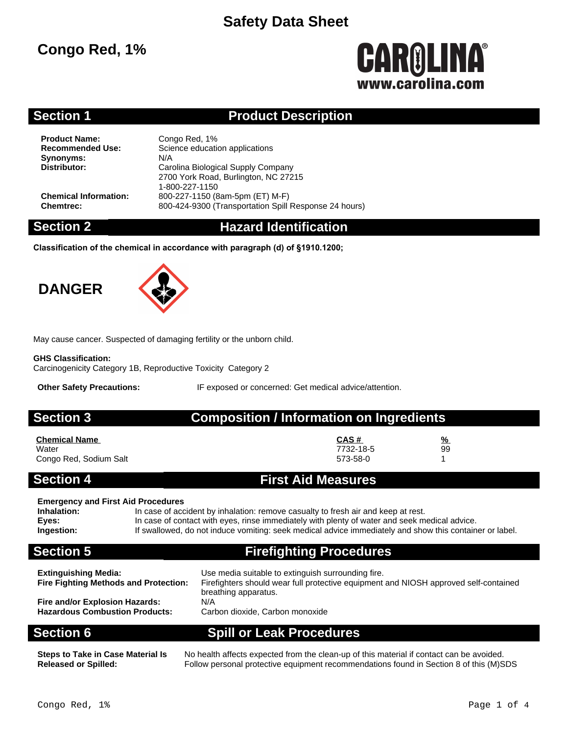# **Congo Red, 1%**

# CAROLINA® www.carolina.co

### **Section 1 Product Description**

**Product Name:** Congo Red, 1%<br> **Recommended Use:** Science educati **Synonyms:** N/A<br>**Distributor:** Care

**Science education applications Distributor:** Carolina Biological Supply Company 2700 York Road, Burlington, NC 27215 1-800-227-1150 **Chemical Information:** 800-227-1150 (8am-5pm (ET) M-F) **Chemtrec:** 800-424-9300 (Transportation Spill Response 24 hours)

### **Section 2 Hazard Identification**

**Classification of the chemical in accordance with paragraph (d) of §1910.1200;**

# **DANGER**



May cause cancer. Suspected of damaging fertility or the unborn child.

### **GHS Classification:**

Carcinogenicity Category 1B, Reproductive Toxicity Category 2

**Other Safety Precautions:** IF exposed or concerned: Get medical advice/attention.

**Section 3 Composition / Information on Ingredients**

| <b>Chemical Name</b>   | CAS#      | $\frac{9}{6}$ |
|------------------------|-----------|---------------|
| Water                  | 7732-18-5 | 99            |
| Congo Red, Sodium Salt | 573-58-0  |               |

### **Section 4 First Aid Measures**

### **Emergency and First Aid Procedures**

**Inhalation:** In case of accident by inhalation: remove casualty to fresh air and keep at rest. **Eyes:** In case of contact with eyes, rinse immediately with plenty of water and seek medical advice.<br> **Ingestion:** If swallowed, do not induce vomiting: seek medical advice immediately and show this contain **Ingestion:** If swallowed, do not induce vomiting: seek medical advice immediately and show this container or label.

# **Section 5 Firefighting Procedures**

| <b>Extinguishing Media:</b>                                             | Use media suitable to extinguish surrounding fire.                                   |
|-------------------------------------------------------------------------|--------------------------------------------------------------------------------------|
| <b>Fire Fighting Methods and Protection:</b>                            | Firefighters should wear full protective equipment and NIOSH approved self-contained |
| Fire and/or Explosion Hazards:<br><b>Hazardous Combustion Products:</b> | breathing apparatus.<br>N/A<br>Carbon dioxide, Carbon monoxide                       |

**Section 6 Spill or Leak Procedures**

**Steps to Take in Case Material Is Released or Spilled:**

No health affects expected from the clean-up of this material if contact can be avoided. Follow personal protective equipment recommendations found in Section 8 of this (M)SDS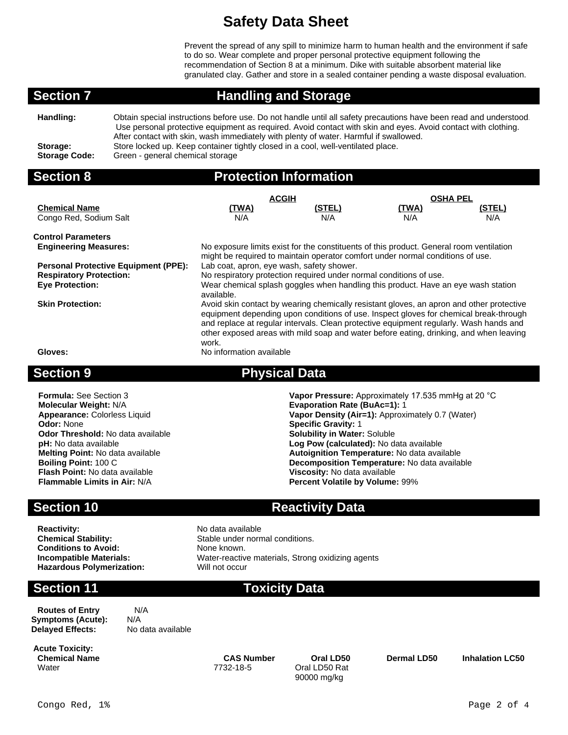Prevent the spread of any spill to minimize harm to human health and the environment if safe to do so. Wear complete and proper personal protective equipment following the recommendation of Section 8 at a minimum. Dike with suitable absorbent material like granulated clay. Gather and store in a sealed container pending a waste disposal evaluation.

### **Section 7 Handling and Storage**

**Handling:** Obtain special instructions before use. Do not handle until all safety precautions have been read and understood. Use personal protective equipment as required. Avoid contact with skin and eyes. Avoid contact with clothing. After contact with skin, wash immediately with plenty of water. Harmful if swallowed. **Storage:** Store locked up. Keep container tightly closed in a cool, well-ventilated place. **Storage Code:** Green - general chemical storage

### **Section 8 Protection Information**

|                                             | <b>ACGIH</b>                                                                                                                                                                                                                                                                                                                                                                   |        | <b>OSHA PEL</b> |               |  |  |
|---------------------------------------------|--------------------------------------------------------------------------------------------------------------------------------------------------------------------------------------------------------------------------------------------------------------------------------------------------------------------------------------------------------------------------------|--------|-----------------|---------------|--|--|
| <b>Chemical Name</b>                        | <u>(TWA)</u>                                                                                                                                                                                                                                                                                                                                                                   | (STEL) | <u>(TWA)</u>    | <u>(STEL)</u> |  |  |
| Congo Red, Sodium Salt                      | N/A                                                                                                                                                                                                                                                                                                                                                                            | N/A    | N/A             | N/A           |  |  |
| <b>Control Parameters</b>                   |                                                                                                                                                                                                                                                                                                                                                                                |        |                 |               |  |  |
| <b>Engineering Measures:</b>                | No exposure limits exist for the constituents of this product. General room ventilation<br>might be required to maintain operator comfort under normal conditions of use.                                                                                                                                                                                                      |        |                 |               |  |  |
| <b>Personal Protective Equipment (PPE):</b> | Lab coat, apron, eye wash, safety shower.                                                                                                                                                                                                                                                                                                                                      |        |                 |               |  |  |
| <b>Respiratory Protection:</b>              | No respiratory protection required under normal conditions of use.                                                                                                                                                                                                                                                                                                             |        |                 |               |  |  |
| <b>Eye Protection:</b>                      | Wear chemical splash goggles when handling this product. Have an eye wash station<br>available.                                                                                                                                                                                                                                                                                |        |                 |               |  |  |
| <b>Skin Protection:</b>                     | Avoid skin contact by wearing chemically resistant gloves, an apron and other protective<br>equipment depending upon conditions of use. Inspect gloves for chemical break-through<br>and replace at regular intervals. Clean protective equipment regularly. Wash hands and<br>other exposed areas with mild soap and water before eating, drinking, and when leaving<br>work. |        |                 |               |  |  |
| Gloves:                                     | No information available                                                                                                                                                                                                                                                                                                                                                       |        |                 |               |  |  |

### **Section 9 Physical Data**

**Formula:** See Section 3 **Vapor Pressure:** Approximately 17.535 mmHg at 20 °C<br> **Molecular Weight:** N/A **Consumersed By Action Rate (BuAc=1):** 1 **Evaporation Rate (BuAc=1):** 1 **Appearance:** Colorless Liquid **Vapor Density (Air=1):** Approximately 0.7 (Water) **Odor:** None **Contract Contract Contract Contract Contract Contract Contract Contract Contract Contract Contract Contract Contract Contract Contract Contract Contract Contract Contract Contract Contract Contract Contract C Odor Threshold:** No data available **pH:** No data available **pH:** No data available **Log Pow (calculated):** No data available **Melting Point:** No data available **Autoignition Temperature:** No data available **Boiling Point:** 100 C **Decomposition Temperature:** No data available **Flash Point:** No data available **Viscosity:** No data available **Flammable Limits in Air:** N/A **Percent Volatile by Volume:** 99%

### **Section 10 Reactivity Data**

**Reactivity:** No data available **Conditions to Avoid:** None known. **Hazardous Polymerization:** 

**Chemical Stability:** Stable under normal conditions. **Incompatible Materials:** Water-reactive materials, Strong oxidizing agents<br> **Hazardous Polymerization:** Will not occur

### **Section 11 Toxicity Data**

**Routes of Entry** N/A **Symptoms (Acute):** N/A<br>**Delayed Effects:** No data available **Delayed Effects:** 

**Acute Toxicity: Chemical Name CAS Number Oral LD50 Dermal LD50 Inhalation LC50** Water 7732-18-5 Oral LD50 Rat

90000 mg/kg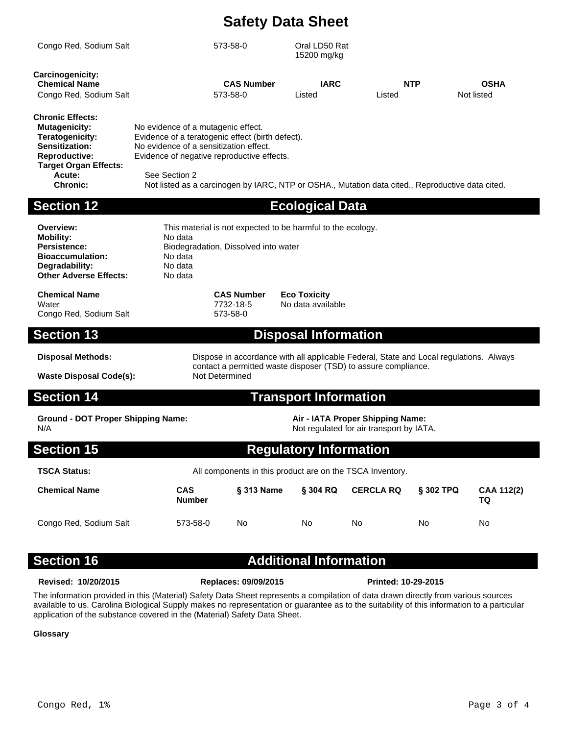| <b>Section 12</b>                                                                                                                            |                                                                              |                                                                                                | <b>Ecological Data</b>       |                                                                                                  |                           |
|----------------------------------------------------------------------------------------------------------------------------------------------|------------------------------------------------------------------------------|------------------------------------------------------------------------------------------------|------------------------------|--------------------------------------------------------------------------------------------------|---------------------------|
| Acute:<br><b>Chronic:</b>                                                                                                                    | See Section 2                                                                |                                                                                                |                              | Not listed as a carcinogen by IARC, NTP or OSHA., Mutation data cited., Reproductive data cited. |                           |
| <b>Chronic Effects:</b><br><b>Mutagenicity:</b><br>Teratogenicity:<br>Sensitization:<br><b>Reproductive:</b><br><b>Target Organ Effects:</b> | No evidence of a mutagenic effect.<br>No evidence of a sensitization effect. | Evidence of a teratogenic effect (birth defect).<br>Evidence of negative reproductive effects. |                              |                                                                                                  |                           |
| <b>Chemical Name</b><br>Congo Red, Sodium Salt                                                                                               |                                                                              | <b>CAS Number</b><br>573-58-0                                                                  | <b>IARC</b><br>Listed        | <b>NTP</b><br>Listed                                                                             | <b>OSHA</b><br>Not listed |
| Congo Red, Sodium Salt<br><b>Carcinogenicity:</b>                                                                                            |                                                                              | 573-58-0                                                                                       | Oral LD50 Rat<br>15200 mg/kg |                                                                                                  |                           |

**Overview:** This material is not expected to be harmful to the ecology. **Mobility:** No data **Persistence:** Biodegradation, Dissolved into water **Bioaccumulation:** No data<br> **Degradability:** No data **Degradability:** No data<br> **Other Adverse Effects:** No data

**Chemical Name CAS Number Eco Toxicity** Water 7732-18-5 No data available<br>Congo Red. Sodium Salt 1996 1997-58-0 Congo Red, Sodium Salt

**Other Adverse Effects:** 

### **Section 13 Disposal Information**

**Waste Disposal Code(s):** 

**Disposal Methods:** Dispose in accordance with all applicable Federal, State and Local regulations. Always contact a permitted waste disposer (TSD) to assure compliance.

### **Section 14 Transport Information**

**Ground - DOT Proper Shipping Name: Air - IATA Proper Shipping Name:** N/A **Not regulated for air transport by IATA**.

### **Section 15 Regulatory Information**

| <b>TSCA Status:</b>    | All components in this product are on the TSCA Inventory. |                   |          |                  |                  |                  |
|------------------------|-----------------------------------------------------------|-------------------|----------|------------------|------------------|------------------|
| <b>Chemical Name</b>   | <b>CAS</b><br><b>Number</b>                               | <b>§ 313 Name</b> | § 304 RQ | <b>CERCLA RQ</b> | <b>\$302 TPQ</b> | CAA 112(2)<br>ТΩ |
| Congo Red, Sodium Salt | 573-58-0                                                  | No                | No       | No               | No               | No               |

# **Section 16 Additional Information**

**Revised: 10/20/2015 Replaces: 09/09/2015 Printed: 10-29-2015**

The information provided in this (Material) Safety Data Sheet represents a compilation of data drawn directly from various sources available to us. Carolina Biological Supply makes no representation or guarantee as to the suitability of this information to a particular application of the substance covered in the (Material) Safety Data Sheet.

### **Glossary**